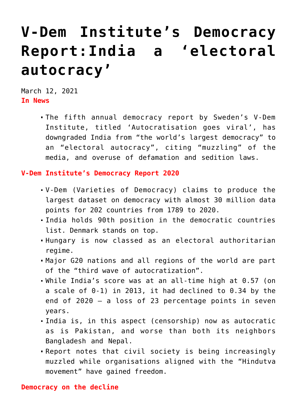## **[V-Dem Institute's Democracy](https://journalsofindia.com/v-dem-institutes-democracy-reportindia-a-electoral-autocracy/) [Report:India a 'electoral](https://journalsofindia.com/v-dem-institutes-democracy-reportindia-a-electoral-autocracy/) [autocracy'](https://journalsofindia.com/v-dem-institutes-democracy-reportindia-a-electoral-autocracy/)**

March 12, 2021 **In News**

> The fifth annual democracy report by Sweden's V-Dem Institute, titled 'Autocratisation goes viral', has downgraded India from "the world's largest democracy" to an "electoral autocracy", citing "muzzling" of the media, and overuse of defamation and sedition laws.

**V-Dem Institute's Democracy Report 2020**

- V-Dem (Varieties of Democracy) claims to produce the largest dataset on democracy with almost 30 million data points for 202 countries from 1789 to 2020.
- India holds 90th position in the democratic countries list. Denmark stands on top.
- Hungary is now classed as an electoral authoritarian regime.
- Major G20 nations and all regions of the world are part of the "third wave of autocratization".
- While India's score was at an all-time high at 0.57 (on a scale of 0-1) in 2013, it had declined to 0.34 by the end of 2020 — a loss of 23 percentage points in seven years.
- India is, in this aspect (censorship) now as autocratic as is Pakistan, and worse than both its neighbors Bangladesh and Nepal.
- Report notes that civil society is being increasingly muzzled while organisations aligned with the "Hindutva movement" have gained freedom.

## **Democracy on the decline**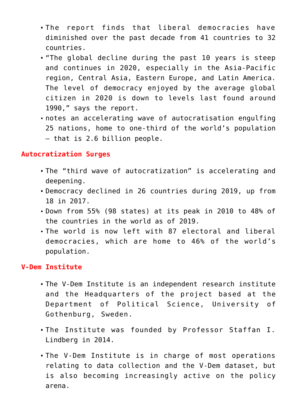- The report finds that liberal democracies have diminished over the past decade from 41 countries to 32 countries.
- "The global decline during the past 10 years is steep and continues in 2020, especially in the Asia-Pacific region, Central Asia, Eastern Europe, and Latin America. The level of democracy enjoyed by the average global citizen in 2020 is down to levels last found around 1990," says the report.
- notes an accelerating wave of autocratisation engulfing 25 nations, home to one-third of the world's population — that is 2.6 billion people.

## **Autocratization Surges**

- The "third wave of autocratization" is accelerating and deepening.
- Democracy declined in 26 countries during 2019, up from 18 in 2017.
- Down from 55% (98 states) at its peak in 2010 to 48% of the countries in the world as of 2019.
- The world is now left with 87 electoral and liberal democracies, which are home to 46% of the world's population.

## **V-Dem Institute**

- The V-Dem Institute is an independent research institute and the Headquarters of the project based at the Department of Political Science, University of Gothenburg, Sweden.
- The Institute was founded by Professor Staffan I. Lindberg in 2014.
- The V-Dem Institute is in charge of most operations relating to data collection and the V-Dem dataset, but is also becoming increasingly active on the policy arena.